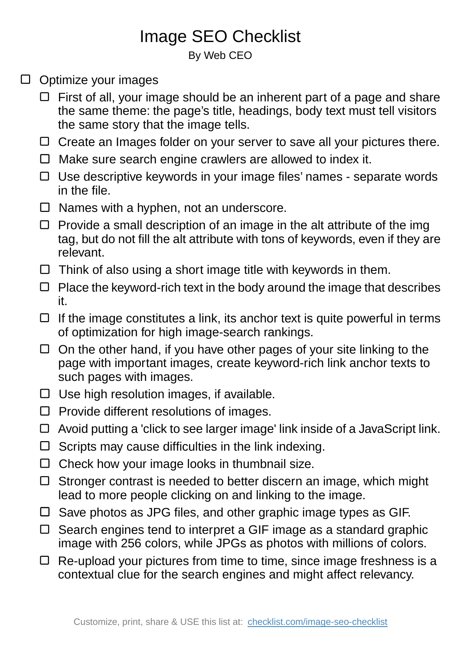## Image SEO Checklist

By Web CEO

- $\Box$  Optimize your images
	- $\Box$  First of all, your image should be an inherent part of a page and share the same theme: the page's title, headings, body text must tell visitors the same story that the image tells.
	- $\Box$  Create an Images folder on your server to save all your pictures there.
	- $\Box$  Make sure search engine crawlers are allowed to index it.
	- $\Box$  Use descriptive keywords in your image files' names separate words in the file.
	- $\Box$  Names with a hyphen, not an underscore.
	- $\Box$  Provide a small description of an image in the alt attribute of the img tag, but do not fill the alt attribute with tons of keywords, even if they are relevant.
	- $\Box$  Think of also using a short image title with keywords in them.
	- $\Box$  Place the keyword-rich text in the body around the image that describes it.
	- $\Box$  If the image constitutes a link, its anchor text is quite powerful in terms of optimization for high image-search rankings.
	- $\Box$  On the other hand, if you have other pages of your site linking to the page with important images, create keyword-rich link anchor texts to such pages with images.
	- $\Box$  Use high resolution images, if available.
	- $\Box$  Provide different resolutions of images.
	- $\Box$  Avoid putting a 'click to see larger image' link inside of a JavaScript link.
	- $\square$  Scripts may cause difficulties in the link indexing.
	- $\Box$  Check how your image looks in thumbnail size.
	- $\Box$  Stronger contrast is needed to better discern an image, which might lead to more people clicking on and linking to the image.
	- $\square$  Save photos as JPG files, and other graphic image types as GIF.
	- $\Box$  Search engines tend to interpret a GIF image as a standard graphic image with 256 colors, while JPGs as photos with millions of colors.
	- $\Box$  Re-upload your pictures from time to time, since image freshness is a contextual clue for the search engines and might affect relevancy.